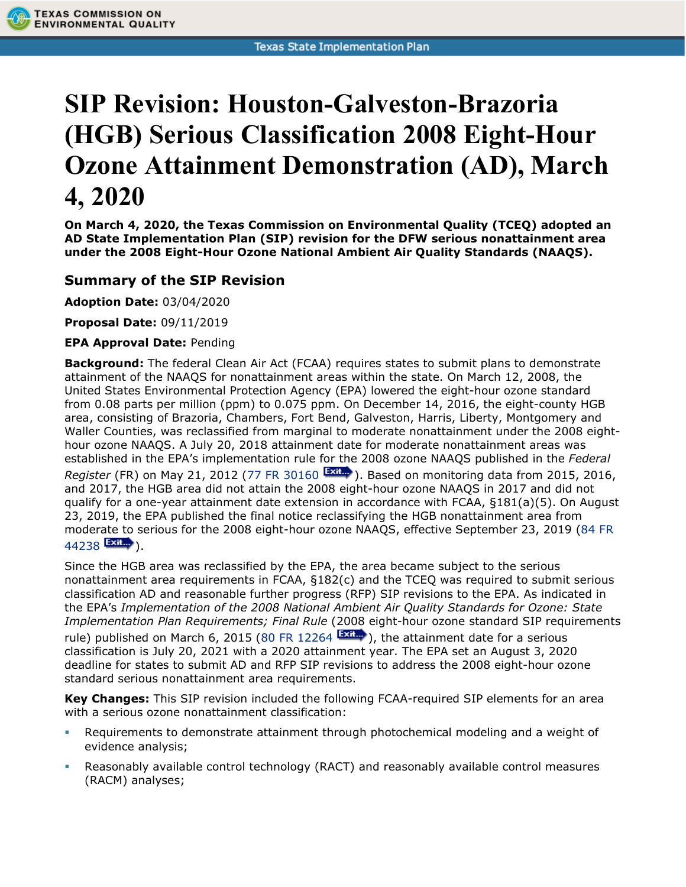## **SIP Revision: Houston-Galveston-Brazoria (HGB) Serious Classification 2008 Eight-Hour Ozone Attainment Demonstration (AD), March 4, 2020**

**On March 4, 2020, the Texas Commission on Environmental Quality (TCEQ) adopted an AD State Implementation Plan (SIP) revision for the DFW serious nonattainment area under the 2008 Eight-Hour Ozone National Ambient Air Quality Standards (NAAQS).**

## **Summary of the SIP Revision**

**Adoption Date:** 03/04/2020

**TEXAS COMMISSION ON ENVIRONMENTAL QUALITY** 

**Proposal Date:** 09/11/2019

## **EPA Approval Date:** Pending

**Background:** The federal Clean Air Act (FCAA) requires states to submit plans to demonstrate attainment of the NAAQS for nonattainment areas within the state. On March 12, 2008, the United States Environmental Protection Agency (EPA) lowered the eight-hour ozone standard from 0.08 parts per million (ppm) to 0.075 ppm. On December 14, 2016, the eight-county HGB area, consisting of Brazoria, Chambers, Fort Bend, Galveston, Harris, Liberty, Montgomery and Waller Counties, was reclassified from marginal to moderate nonattainment under the 2008 eighthour ozone NAAQS. A July 20, 2018 attainment date for moderate nonattainment areas was established in the EPA's implementation rule for the 2008 ozone NAAQS published in the *Federal Register* (FR) on May 21, 2012 [\(77 FR 30160](https://www.gpo.gov/fdsys/pkg/FR-2012-05-21/pdf/2012-11605.pdf) **Exile**). Based on monitoring data from 2015, 2016, and 2017, the HGB area did not attain the 2008 eight-hour ozone NAAQS in 2017 and did not qualify for a one-year attainment date extension in accordance with FCAA, §181(a)(5). On August 23, 2019, the EPA published the final notice reclassifying the HGB nonattainment area from moderate to serious for the 2008 eight-hour ozone NAAQS, effective September 23, 2019 [\(84 FR](https://www.govinfo.gov/content/pkg/FR-2019-08-23/pdf/2019-17796.pdf)   $44238$   $\frac{[23]^{11}}{20}$ .

Since the HGB area was reclassified by the EPA, the area became subject to the serious nonattainment area requirements in FCAA, §182(c) and the TCEQ was required to submit serious classification AD and reasonable further progress (RFP) SIP revisions to the EPA. As indicated in the EPA's *Implementation of the 2008 National Ambient Air Quality Standards for Ozone: State Implementation Plan Requirements; Final Rule* (2008 eight-hour ozone standard SIP requirements rule) published on March 6, 2015 [\(80 FR 12264](https://www.govinfo.gov/content/pkg/FR-2015-03-06/pdf/2015-04012.pdf)  $\frac{Exit}{dx}$ ), the attainment date for a serious classification is July 20, 2021 with a 2020 attainment year. The EPA set an August 3, 2020 deadline for states to submit AD and RFP SIP revisions to address the 2008 eight-hour ozone standard serious nonattainment area requirements.

**Key Changes:** This SIP revision included the following FCAA-required SIP elements for an area with a serious ozone nonattainment classification:

- Requirements to demonstrate attainment through photochemical modeling and a weight of evidence analysis;
- Reasonably available control technology (RACT) and reasonably available control measures (RACM) analyses;